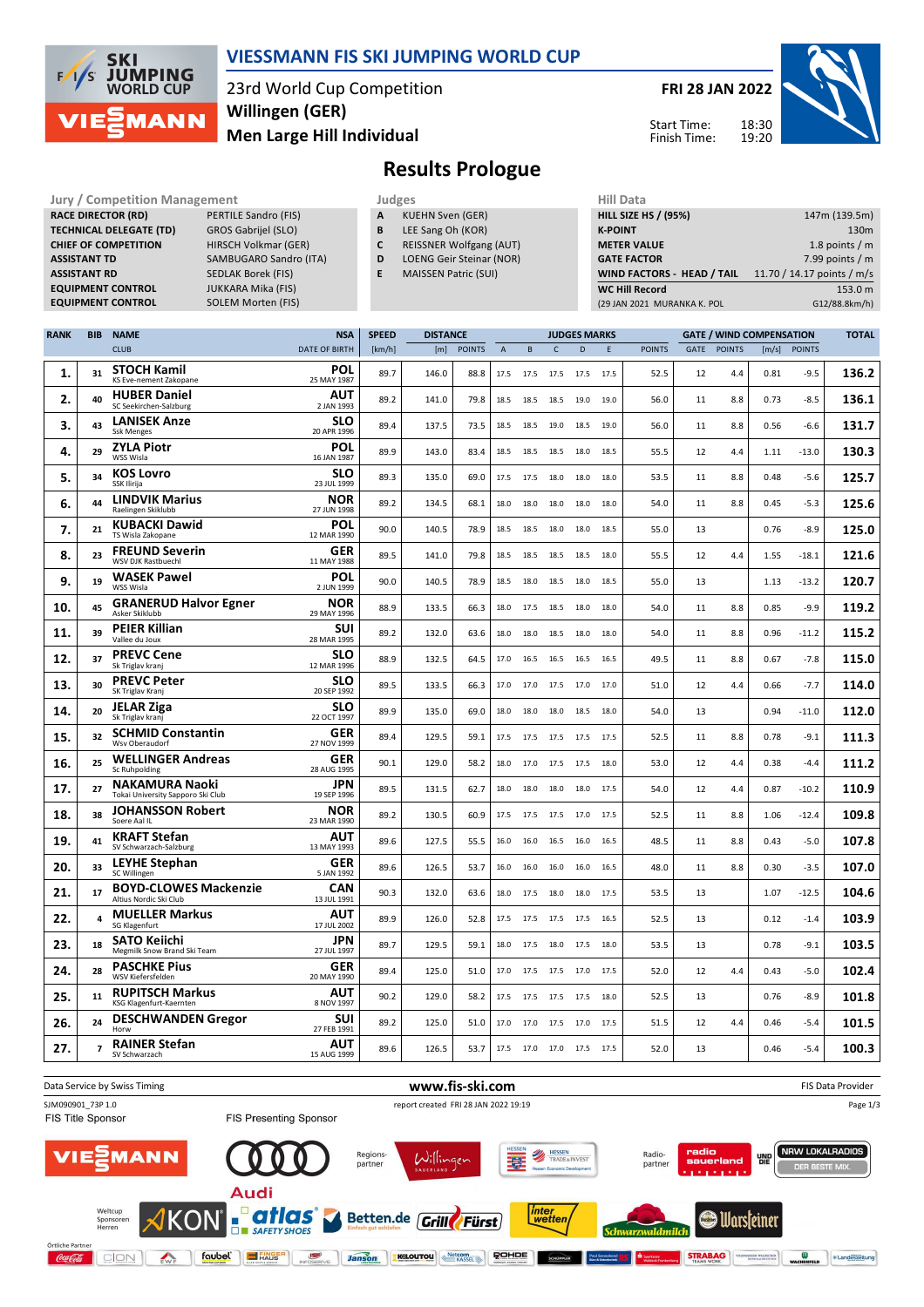

## **VIESSMANN FIS SKI JUMPING WORLD CUP**

23rd World Cup Competition **Men Large Hill Individual Willingen (GER)**

**FRI 28 JAN 2022**



Start Time: Finish Time:

# **Results Prologue**

| <b>Jury / Competition Management</b> |                           |   | Judges                         |  |                    |  |  |  |
|--------------------------------------|---------------------------|---|--------------------------------|--|--------------------|--|--|--|
| <b>RACE DIRECTOR (RD)</b>            | PERTILE Sandro (FIS)      | A | <b>KUEHN Sven (GER)</b>        |  | <b>HILL SIZE I</b> |  |  |  |
| <b>TECHNICAL DELEGATE (TD)</b>       | GROS Gabrijel (SLO)       | B | LEE Sang Oh (KOR)              |  | <b>K-POINT</b>     |  |  |  |
| <b>CHIEF OF COMPETITION</b>          | HIRSCH Volkmar (GER)      |   | <b>REISSNER Wolfgang (AUT)</b> |  | <b>METER VA</b>    |  |  |  |
| <b>ASSISTANT TD</b>                  | SAMBUGARO Sandro (ITA)    | D | LOENG Geir Steinar (NOR)       |  | <b>GATE FACT</b>   |  |  |  |
| <b>ASSISTANT RD</b>                  | SEDLAK Borek (FIS)        |   | <b>MAISSEN Patric (SUI)</b>    |  | <b>WIND FAC</b>    |  |  |  |
| <b>EQUIPMENT CONTROL</b>             | <b>JUKKARA Mika (FIS)</b> |   |                                |  | <b>WC Hill Re</b>  |  |  |  |
| <b>EQUIDMENT CONTROL</b>             | SOLEM Morton (EIS)        |   |                                |  | (20.188)           |  |  |  |

- **A** KUEHN Sven (GER) **B** LEE Sang Oh (KOR)
- **C** REISSNER Wolfgang (AUT)
- **D** LOENG Geir Steinar (NOR)
- **E** MAISSEN Patric (SUI)
- 

| <b>HILL SIZE HS / (95%)</b> | 147m (139.5m)              |
|-----------------------------|----------------------------|
| <b>K-POINT</b>              | 130 <sub>m</sub>           |
| <b>METER VALUE</b>          | 1.8 points $/m$            |
| <b>GATE FACTOR</b>          | 7.99 points $/m$           |
| WIND FACTORS - HEAD / TAIL  | 11.70 / 14.17 points / m/s |
| <b>WC Hill Record</b>       | 153.0 m                    |
| (29 JAN 2021 MURANKA K. POL | G12/88.8km/h)              |

| <b>RANK</b> | <b>BIB</b> | <b>NAME</b>                                                | <b>NSA</b>                | <b>SPEED</b> | <b>DISTANCE</b> |               |                |                |                | <b>JUDGES MARKS</b> |             |               |      | <b>GATE / WIND COMPENSATION</b> |       |               | <b>TOTAL</b> |
|-------------|------------|------------------------------------------------------------|---------------------------|--------------|-----------------|---------------|----------------|----------------|----------------|---------------------|-------------|---------------|------|---------------------------------|-------|---------------|--------------|
|             |            | <b>CLUB</b>                                                | <b>DATE OF BIRTH</b>      | [km/h]       | [m]             | <b>POINTS</b> | $\overline{A}$ | B              | $\mathsf{C}$   | D                   | $\mathsf E$ | <b>POINTS</b> | GATE | <b>POINTS</b>                   | [m/s] | <b>POINTS</b> |              |
| 1.          | 31         | <b>STOCH Kamil</b><br>KS Eve-nement Zakopane               | POL<br>25 MAY 1987        | 89.7         | 146.0           | 88.8          | 17.5           | 17.5 17.5      |                | 17.5                | 17.5        | 52.5          | 12   | 4.4                             | 0.81  | $-9.5$        | 136.2        |
| 2.          | 40         | <b>HUBER Daniel</b><br>SC Seekirchen-Salzburg              | AUT<br>2 JAN 1993         | 89.2         | 141.0           | 79.8          | 18.5           | 18.5           | 18.5           | 19.0                | 19.0        | 56.0          | 11   | 8.8                             | 0.73  | $-8.5$        | 136.1        |
| 3.          | 43         | <b>LANISEK Anze</b><br><b>Ssk Menges</b>                   | <b>SLO</b><br>20 APR 1996 | 89.4         | 137.5           | 73.5          | 18.5           | 18.5           | 19.0           | 18.5                | 19.0        | 56.0          | 11   | 8.8                             | 0.56  | $-6.6$        | 131.7        |
| 4.          | 29         | <b>ZYLA Piotr</b><br>WSS Wisla                             | <b>POL</b><br>16 JAN 1987 | 89.9         | 143.0           | 83.4          | 18.5           | 18.5           | 18.5           | 18.0                | 18.5        | 55.5          | 12   | 4.4                             | 1.11  | $-13.0$       | 130.3        |
| 5.          | 34         | <b>KOS Lovro</b><br>SSK Ilirija                            | <b>SLO</b><br>23 JUL 1999 | 89.3         | 135.0           | 69.0          | 17.5           | 17.5           | 18.0           | 18.0                | 18.0        | 53.5          | 11   | 8.8                             | 0.48  | $-5.6$        | 125.7        |
| 6.          | 44         | <b>LINDVIK Marius</b><br>Raelingen Skiklubb                | NOR<br>27 JUN 1998        | 89.2         | 134.5           | 68.1          | 18.0           | 18.0           | 18.0           | 18.0                | 18.0        | 54.0          | 11   | 8.8                             | 0.45  | $-5.3$        | 125.6        |
| 7.          | 21         | <b>KUBACKI Dawid</b><br>TS Wisla Zakopane                  | POL<br>12 MAR 1990        | 90.0         | 140.5           | 78.9          | 18.5           | 18.5           | 18.0           | 18.0                | 18.5        | 55.0          | 13   |                                 | 0.76  | $-8.9$        | 125.0        |
| 8.          | 23         | <b>FREUND Severin</b><br>WSV DJK Rastbuechl                | GER<br>11 MAY 1988        | 89.5         | 141.0           | 79.8          | 18.5           | 18.5           | 18.5           | 18.5                | 18.0        | 55.5          | 12   | 4.4                             | 1.55  | $-18.1$       | 121.6        |
| 9.          | 19         | <b>WASEK Pawel</b><br>WSS Wisla                            | <b>POL</b><br>2 JUN 1999  | 90.0         | 140.5           | 78.9          | 18.5           | 18.0 18.5      |                | 18.0                | 18.5        | 55.0          | 13   |                                 | 1.13  | $-13.2$       | 120.7        |
| 10.         | 45         | <b>GRANERUD Halvor Egner</b><br>Asker Skiklubb             | NOR<br>29 MAY 1996        | 88.9         | 133.5           | 66.3          | 18.0           | 17.5           | 18.5           | 18.0                | 18.0        | 54.0          | 11   | 8.8                             | 0.85  | $-9.9$        | 119.2        |
| 11.         | 39         | <b>PEIER Killian</b><br>Vallee du Joux                     | <b>SUI</b><br>28 MAR 1995 | 89.2         | 132.0           | 63.6          | 18.0           | 18.0           | 18.5           | 18.0                | 18.0        | 54.0          | 11   | 8.8                             | 0.96  | $-11.2$       | 115.2        |
| 12.         | 37         | <b>PREVC Cene</b><br>Sk Triglav kranj                      | <b>SLO</b><br>12 MAR 1996 | 88.9         | 132.5           | 64.5          | 17.0           | 16.5 16.5      |                | 16.5                | 16.5        | 49.5          | 11   | 8.8                             | 0.67  | $-7.8$        | 115.0        |
| 13.         | 30         | <b>PREVC Peter</b><br>SK Triglav Kranj                     | <b>SLO</b><br>20 SEP 1992 | 89.5         | 133.5           | 66.3          | 17.0           | 17.0           | 17.5           | 17.0                | 17.0        | 51.0          | 12   | 4.4                             | 0.66  | $-7.7$        | 114.0        |
| 14.         | 20         | <b>JELAR Ziga</b><br>Sk Triglav kranj                      | <b>SLO</b><br>22 OCT 1997 | 89.9         | 135.0           | 69.0          | 18.0           | 18.0           | 18.0           | 18.5                | 18.0        | 54.0          | 13   |                                 | 0.94  | $-11.0$       | 112.0        |
| 15.         | 32         | <b>SCHMID Constantin</b><br>Wsv Oberaudorf                 | <b>GER</b><br>27 NOV 1999 | 89.4         | 129.5           | 59.1          | 17.5           |                | 17.5 17.5 17.5 |                     | 17.5        | 52.5          | 11   | 8.8                             | 0.78  | $-9.1$        | 111.3        |
| 16.         | 25         | <b>WELLINGER Andreas</b><br>Sc Ruhpolding                  | GER<br>28 AUG 1995        | 90.1         | 129.0           | 58.2          | 18.0           | 17.0           | 17.5           | 17.5                | 18.0        | 53.0          | 12   | 4.4                             | 0.38  | $-4.4$        | 111.2        |
| 17.         | 27         | <b>NAKAMURA Naoki</b><br>Tokai University Sapporo Ski Club | <b>JPN</b><br>19 SEP 1996 | 89.5         | 131.5           | 62.7          | 18.0           | 18.0           | 18.0           | 18.0                | 17.5        | 54.0          | 12   | 4.4                             | 0.87  | $-10.2$       | 110.9        |
| 18.         | 38         | <b>JOHANSSON Robert</b><br>Soere Aal IL                    | <b>NOR</b><br>23 MAR 1990 | 89.2         | 130.5           | 60.9          | 17.5           | 17.5           | 17.5           | 17.0                | 17.5        | 52.5          | 11   | 8.8                             | 1.06  | $-12.4$       | 109.8        |
| 19.         | 41         | <b>KRAFT Stefan</b><br>SV Schwarzach-Salzburg              | AUT<br>13 MAY 1993        | 89.6         | 127.5           | 55.5          | 16.0           | 16.0           | 16.5           | 16.0                | 16.5        | 48.5          | 11   | 8.8                             | 0.43  | $-5.0$        | 107.8        |
| 20.         | 33         | <b>LEYHE Stephan</b><br>SC Willingen                       | <b>GER</b><br>5 JAN 1992  | 89.6         | 126.5           | 53.7          | 16.0           | 16.0           | 16.0           | 16.0                | 16.5        | 48.0          | 11   | 8.8                             | 0.30  | $-3.5$        | 107.0        |
| 21.         | 17         | <b>BOYD-CLOWES Mackenzie</b><br>Altius Nordic Ski Club     | <b>CAN</b><br>13 JUL 1991 | 90.3         | 132.0           | 63.6          | 18.0           | 17.5           | 18.0           | 18.0                | 17.5        | 53.5          | 13   |                                 | 1.07  | $-12.5$       | 104.6        |
| 22.         | 4          | <b>MUELLER Markus</b><br>SG Klagenfurt                     | AUT<br>17 JUL 2002        | 89.9         | 126.0           | 52.8          | 17.5           | 17.5           | 17.5           | 17.5                | 16.5        | 52.5          | 13   |                                 | 0.12  | $-1.4$        | 103.9        |
| 23.         | 18         | <b>SATO Keiichi</b><br>Megmilk Snow Brand Ski Team         | <b>JPN</b><br>27 JUL 1997 | 89.7         | 129.5           | 59.1          | 18.0           | 17.5           | 18.0           | 17.5                | 18.0        | 53.5          | 13   |                                 | 0.78  | $-9.1$        | 103.5        |
| 24.         | 28         | <b>PASCHKE Pius</b><br>WSV Kiefersfelden                   | GER<br>20 MAY 1990        | 89.4         | 125.0           | 51.0          | 17.0           | 17.5           | 17.5           | 17.0                | 17.5        | 52.0          | 12   | 4.4                             | 0.43  | $-5.0$        | 102.4        |
| 25.         | 11         | <b>RUPITSCH Markus</b><br>KSG Klagenfurt-Kaernten          | AUT<br>8 NOV 1997         | 90.2         | 129.0           | 58.2          | 17.5           | 17.5 17.5      |                | 17.5                | 18.0        | 52.5          | 13   |                                 | 0.76  | $-8.9$        | 101.8        |
| 26.         | 24         | <b>DESCHWANDEN Gregor</b><br>Horw                          | <b>SUI</b><br>27 FEB 1991 | 89.2         | 125.0           | 51.0          | 17.0           | 17.0           | 17.5           | 17.0                | 17.5        | 51.5          | 12   | 4.4                             | 0.46  | $-5.4$        | 101.5        |
| 27.         | 7          | <b>RAINER Stefan</b><br>SV Schwarzach                      | AUT<br>15 AUG 1999        | 89.6         | 126.5           | 53.7          | 17.5           | 17.0 17.0 17.5 |                |                     | 17.5        | 52.0          | 13   |                                 | 0.46  | $-5.4$        | 100.3        |

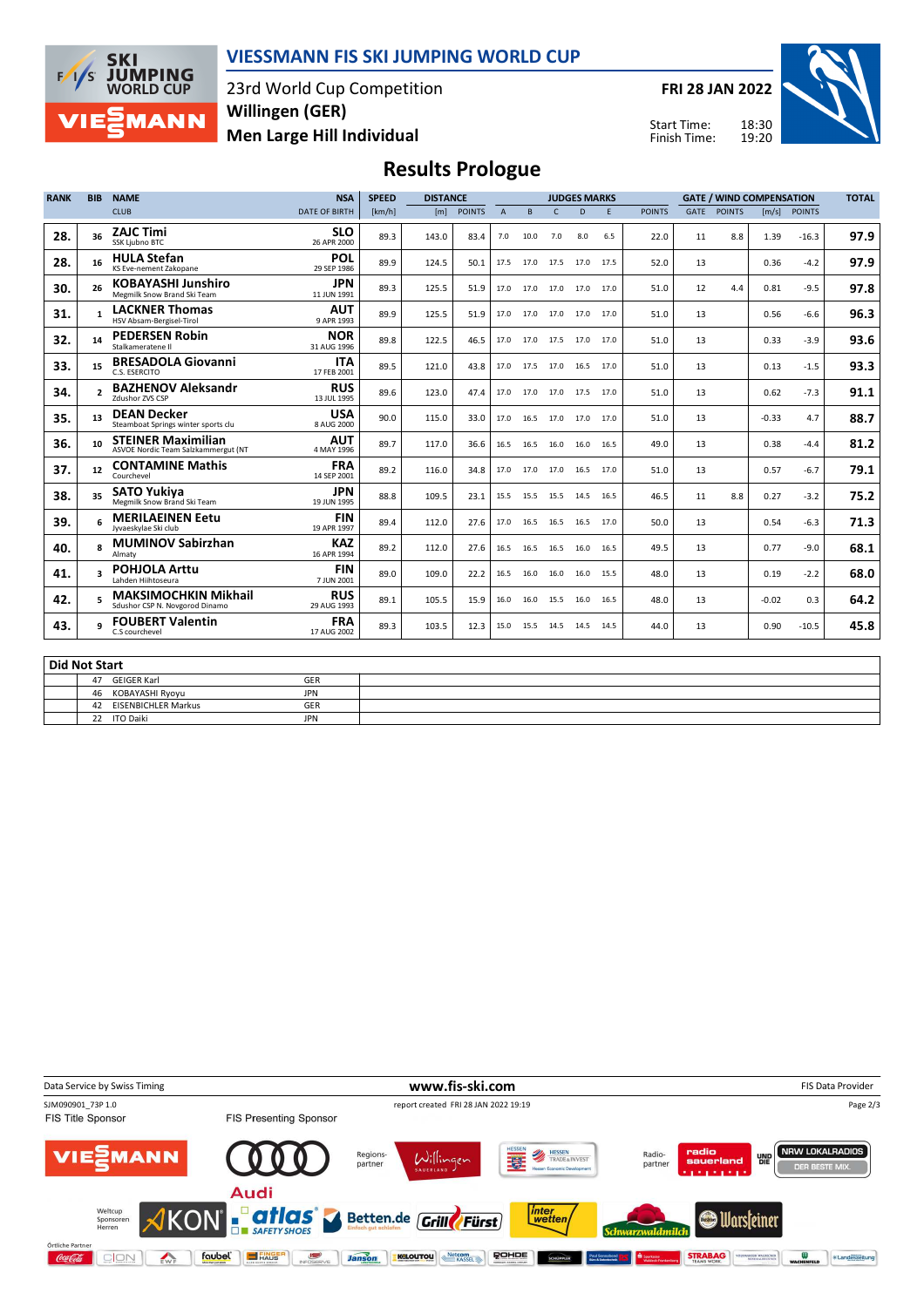

#### **VIESSMANN FIS SKI JUMPING WORLD CUP**

23rd World Cup Competition **Men Large Hill Individual Willingen (GER)**

**FRI 28 JAN 2022**

Start Time: Finish Time:



## **Results Prologue**

| <b>RANK</b>          | <b>BIB</b>      | <b>NAME</b>                                                      | <b>NSA</b>                | <b>SPEED</b> | <b>DISTANCE</b> |               |                |                     |           | <b>JUDGES MARKS</b>      |      |               |      | <b>GATE / WIND COMPENSATION</b> |         |               | <b>TOTAL</b> |
|----------------------|-----------------|------------------------------------------------------------------|---------------------------|--------------|-----------------|---------------|----------------|---------------------|-----------|--------------------------|------|---------------|------|---------------------------------|---------|---------------|--------------|
|                      |                 | <b>CLUB</b>                                                      | <b>DATE OF BIRTH</b>      | [km/h]       | [m]             | <b>POINTS</b> | $\overline{A}$ | B                   | r         | D                        | E    | <b>POINTS</b> | GATE | <b>POINTS</b>                   | [m/s]   | <b>POINTS</b> |              |
| 28.                  | 36              | <b>ZAJC Timi</b><br>SSK Ljubno BTC                               | <b>SLO</b><br>26 APR 2000 | 89.3         | 143.0           | 83.4          | 7.0            | 10.0                | 7.0       | 8.0                      | 6.5  | 22.0          | 11   | 8.8                             | 1.39    | $-16.3$       | 97.9         |
| 28.                  | 16              | <b>HULA Stefan</b><br>KS Eve-nement Zakopane                     | POL<br>29 SEP 1986        | 89.9         | 124.5           | 50.1          | 17.5           | 17.0 17.5           |           | 17.0                     | 17.5 | 52.0          | 13   |                                 | 0.36    | $-4.2$        | 97.9         |
| 30.                  | 26              | <b>KOBAYASHI Junshiro</b><br>Megmilk Snow Brand Ski Team         | <b>JPN</b><br>11 JUN 1991 | 89.3         | 125.5           | 51.9          | 17.0           | 17.0 17.0           |           | 17.0                     | 17.0 | 51.0          | 12   | 4.4                             | 0.81    | $-9.5$        | 97.8         |
| 31.                  | 1               | <b>LACKNER Thomas</b><br>HSV Absam-Bergisel-Tirol                | <b>AUT</b><br>9 APR 1993  | 89.9         | 125.5           | 51.9          |                | 17.0 17.0 17.0      |           | 17.0                     | 17.0 | 51.0          | 13   |                                 | 0.56    | $-6.6$        | 96.3         |
| 32.                  | 14              | <b>PEDERSEN Robin</b><br>Stalkameratene II                       | <b>NOR</b><br>31 AUG 1996 | 89.8         | 122.5           | 46.5          |                | 17.0 17.0 17.5      |           | 17.0                     | 17.0 | 51.0          | 13   |                                 | 0.33    | $-3.9$        | 93.6         |
| 33.                  | 15              | <b>BRESADOLA Giovanni</b><br>C.S. ESERCITO                       | <b>ITA</b><br>17 FEB 2001 | 89.5         | 121.0           | 43.8          |                | 17.0 17.5 17.0 16.5 |           |                          | 17.0 | 51.0          | 13   |                                 | 0.13    | $-1.5$        | 93.3         |
| 34.                  |                 | <b>BAZHENOV Aleksandr</b><br>Zdushor ZVS CSP                     | <b>RUS</b><br>13 JUL 1995 | 89.6         | 123.0           | 47.4          |                | 17.0 17.0 17.0 17.5 |           |                          | 17.0 | 51.0          | 13   |                                 | 0.62    | $-7.3$        | 91.1         |
| 35.                  | 13              | <b>DEAN Decker</b><br>Steamboat Springs winter sports clu        | <b>USA</b><br>8 AUG 2000  | 90.0         | 115.0           | 33.0          |                | 17.0 16.5 17.0 17.0 |           |                          | 17.0 | 51.0          | 13   |                                 | $-0.33$ | 4.7           | 88.7         |
| 36.                  | 10 <sup>1</sup> | <b>STEINER Maximilian</b><br>ASVOE Nordic Team Salzkammergut (NT | <b>AUT</b><br>4 MAY 1996  | 89.7         | 117.0           | 36.6          | 16.5           | 16.5                | 16.0      | 16.0                     | 16.5 | 49.0          | 13   |                                 | 0.38    | $-4.4$        | 81.2         |
| 37.                  | 12              | <b>CONTAMINE Mathis</b><br>Courchevel                            | <b>FRA</b><br>14 SEP 2001 | 89.2         | 116.0           | 34.8          |                |                     |           | 17.0 17.0 17.0 16.5 17.0 |      | 51.0          | 13   |                                 | 0.57    | $-6.7$        | 79.1         |
| 38.                  | 35              | <b>SATO Yukiva</b><br>Megmilk Snow Brand Ski Team                | <b>JPN</b><br>19 JUN 1995 | 88.8         | 109.5           | 23.1          | 15.5           |                     | 15.5 15.5 | 14.5                     | 16.5 | 46.5          | 11   | 8.8                             | 0.27    | $-3.2$        | 75.2         |
| 39.                  |                 | <b>MERILAEINEN Eetu</b><br>Jyvaeskylae Ski club                  | <b>FIN</b><br>19 APR 1997 | 89.4         | 112.0           | 27.6          | 17.0           | 16.5 16.5           |           | 16.5                     | 17.0 | 50.0          | 13   |                                 | 0.54    | $-6.3$        | 71.3         |
| 40.                  | $\mathbf{R}$    | <b>MUMINOV Sabirzhan</b><br>Almaty                               | <b>KAZ</b><br>16 APR 1994 | 89.2         | 112.0           | 27.6          | 16.5           | 16.5 16.5           |           | 16.0                     | 16.5 | 49.5          | 13   |                                 | 0.77    | $-9.0$        | 68.1         |
| 41.                  |                 | <b>POHJOLA Arttu</b><br>Lahden Hiihtoseura                       | <b>FIN</b><br>7 JUN 2001  | 89.0         | 109.0           | 22.2          | 16.5           | 16.0                | 16.0      | 16.0                     | 15.5 | 48.0          | 13   |                                 | 0.19    | $-2.2$        | 68.0         |
| 42.                  |                 | <b>MAKSIMOCHKIN Mikhail</b><br>Sdushor CSP N. Novgorod Dinamo    | <b>RUS</b><br>29 AUG 1993 | 89.1         | 105.5           | 15.9          | 16.0           | 16.0 15.5           |           | 16.0                     | 16.5 | 48.0          | 13   |                                 | $-0.02$ | 0.3           | 64.2         |
| 43.                  |                 | <b>FOUBERT Valentin</b><br>C.S courchevel                        | <b>FRA</b><br>17 AUG 2002 | 89.3         | 103.5           | 12.3          | 15.0           | 15.5 14.5           |           | 14.5                     | 14.5 | 44.0          | 13   |                                 | 0.90    | $-10.5$       | 45.8         |
| <b>Did Not Start</b> |                 |                                                                  |                           |              |                 |               |                |                     |           |                          |      |               |      |                                 |         |               |              |

| Puu Not Start             |            |  |  |  |  |  |  |  |  |  |
|---------------------------|------------|--|--|--|--|--|--|--|--|--|
| 47<br>GEIGER Karl         | GER        |  |  |  |  |  |  |  |  |  |
| KOBAYASHI Ryoyu<br>46     | <b>JPN</b> |  |  |  |  |  |  |  |  |  |
| EISENBICHLER Markus<br>42 | <b>GER</b> |  |  |  |  |  |  |  |  |  |
| <b>ITO Daiki</b><br>22    | <b>JPN</b> |  |  |  |  |  |  |  |  |  |